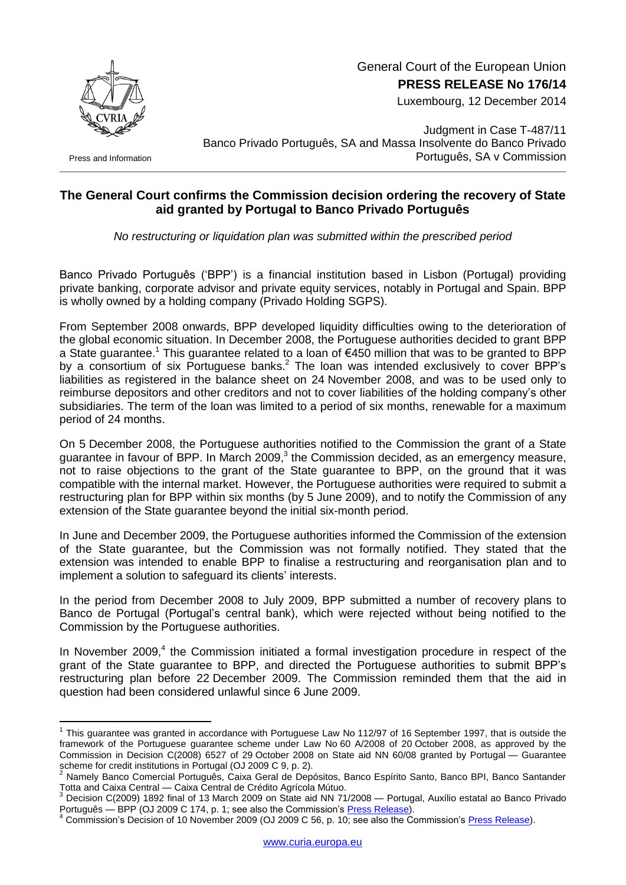

General Court of the European Union **PRESS RELEASE No 176/14**

Luxembourg, 12 December 2014

Press and Information

<u>.</u>

Judgment in Case T-487/11 Banco Privado Português, SA and Massa Insolvente do Banco Privado Português, SA v Commission

## **The General Court confirms the Commission decision ordering the recovery of State aid granted by Portugal to Banco Privado Português**

*No restructuring or liquidation plan was submitted within the prescribed period*

Banco Privado Português ('BPP') is a financial institution based in Lisbon (Portugal) providing private banking, corporate advisor and private equity services, notably in Portugal and Spain. BPP is wholly owned by a holding company (Privado Holding SGPS).

From September 2008 onwards, BPP developed liquidity difficulties owing to the deterioration of the global economic situation. In December 2008, the Portuguese authorities decided to grant BPP a State guarantee.<sup>1</sup> This guarantee related to a loan of  $\epsilon$ 450 million that was to be granted to BPP by a consortium of six Portuguese banks.<sup>2</sup> The loan was intended exclusively to cover BPP's liabilities as registered in the balance sheet on 24 November 2008, and was to be used only to reimburse depositors and other creditors and not to cover liabilities of the holding company's other subsidiaries. The term of the loan was limited to a period of six months, renewable for a maximum period of 24 months.

On 5 December 2008, the Portuguese authorities notified to the Commission the grant of a State guarantee in favour of BPP. In March 2009, 3 the Commission decided, as an emergency measure, not to raise objections to the grant of the State guarantee to BPP, on the ground that it was compatible with the internal market. However, the Portuguese authorities were required to submit a restructuring plan for BPP within six months (by 5 June 2009), and to notify the Commission of any extension of the State guarantee beyond the initial six-month period.

In June and December 2009, the Portuguese authorities informed the Commission of the extension of the State guarantee, but the Commission was not formally notified. They stated that the extension was intended to enable BPP to finalise a restructuring and reorganisation plan and to implement a solution to safeguard its clients' interests.

In the period from December 2008 to July 2009, BPP submitted a number of recovery plans to Banco de Portugal (Portugal's central bank), which were rejected without being notified to the Commission by the Portuguese authorities.

In November 2009,<sup>4</sup> the Commission initiated a formal investigation procedure in respect of the grant of the State guarantee to BPP, and directed the Portuguese authorities to submit BPP's restructuring plan before 22 December 2009. The Commission reminded them that the aid in question had been considered unlawful since 6 June 2009.

 $1$  This guarantee was granted in accordance with Portuguese Law No 112/97 of 16 September 1997, that is outside the framework of the Portuguese guarantee scheme under Law No 60 A/2008 of 20 October 2008, as approved by the Commission in Decision C(2008) 6527 of 29 October 2008 on State aid NN 60/08 granted by Portugal — Guarantee scheme for credit institutions in Portugal (OJ 2009 C 9, p. 2).

<sup>2</sup> Namely Banco Comercial Português, Caixa Geral de Depósitos, Banco Espírito Santo, Banco BPI, Banco Santander Totta and Caixa Central de Crédito Agrícola Mútuo.<br><sup>3</sup> Desistas Central de Crédito Agrícola Mútuo.

<sup>3</sup> Decision C(2009) 1892 final of 13 March 2009 on State aid NN 71/2008 — Portugal, Auxílio estatal ao Banco Privado Português — BPP (OJ 2009 C 174, p. 1; see also the Commission's [Press Release\)](http://europa.eu/rapid/press-release_IP-09-400_en.htm).

Commission's Decision of 10 November 2009 (OJ 2009 C 56, p. 10; see also the Commission's [Press Release\)](http://europa.eu/rapid/press-release_IP-09-1691_en.htm).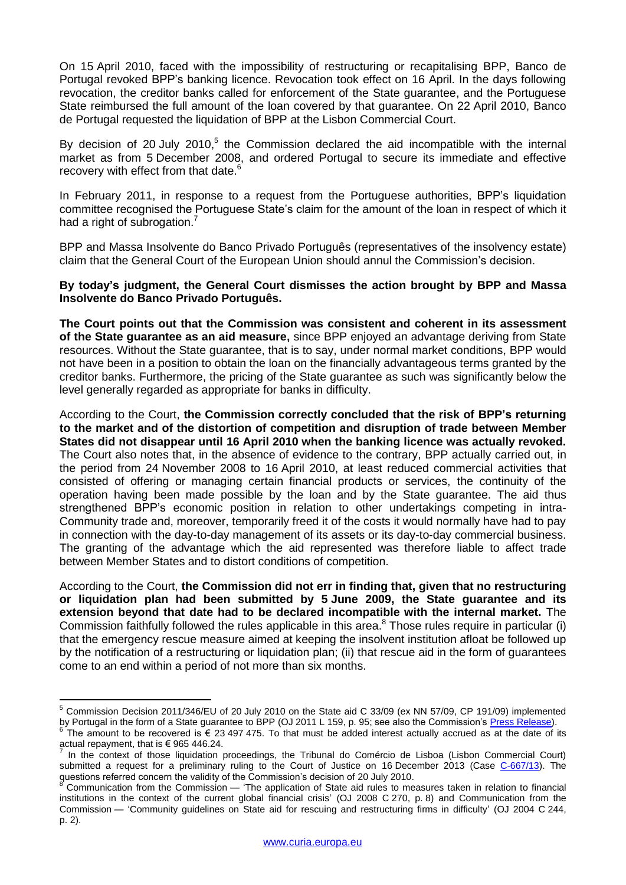On 15 April 2010, faced with the impossibility of restructuring or recapitalising BPP, Banco de Portugal revoked BPP's banking licence. Revocation took effect on 16 April. In the days following revocation, the creditor banks called for enforcement of the State guarantee, and the Portuguese State reimbursed the full amount of the loan covered by that guarantee. On 22 April 2010, Banco de Portugal requested the liquidation of BPP at the Lisbon Commercial Court.

By decision of 20 July 2010,<sup>5</sup> the Commission declared the aid incompatible with the internal market as from 5 December 2008, and ordered Portugal to secure its immediate and effective recovery with effect from that date.<sup>6</sup>

In February 2011, in response to a request from the Portuguese authorities, BPP's liquidation committee recognised the Portuguese State's claim for the amount of the loan in respect of which it had a right of subrogation.<sup>7</sup>

BPP and Massa Insolvente do Banco Privado Português (representatives of the insolvency estate) claim that the General Court of the European Union should annul the Commission's decision.

**By today's judgment, the General Court dismisses the action brought by BPP and Massa Insolvente do Banco Privado Português.**

**The Court points out that the Commission was consistent and coherent in its assessment of the State guarantee as an aid measure,** since BPP enjoyed an advantage deriving from State resources. Without the State guarantee, that is to say, under normal market conditions, BPP would not have been in a position to obtain the loan on the financially advantageous terms granted by the creditor banks. Furthermore, the pricing of the State guarantee as such was significantly below the level generally regarded as appropriate for banks in difficulty.

According to the Court, **the Commission correctly concluded that the risk of BPP's returning to the market and of the distortion of competition and disruption of trade between Member States did not disappear until 16 April 2010 when the banking licence was actually revoked.**  The Court also notes that, in the absence of evidence to the contrary, BPP actually carried out, in the period from 24 November 2008 to 16 April 2010, at least reduced commercial activities that consisted of offering or managing certain financial products or services, the continuity of the operation having been made possible by the loan and by the State guarantee. The aid thus strengthened BPP's economic position in relation to other undertakings competing in intra-Community trade and, moreover, temporarily freed it of the costs it would normally have had to pay in connection with the day-to-day management of its assets or its day-to-day commercial business. The granting of the advantage which the aid represented was therefore liable to affect trade between Member States and to distort conditions of competition.

According to the Court, **the Commission did not err in finding that, given that no restructuring or liquidation plan had been submitted by 5 June 2009, the State guarantee and its extension beyond that date had to be declared incompatible with the internal market.** The Commission faithfully followed the rules applicable in this area. $8$  Those rules require in particular (i) that the emergency rescue measure aimed at keeping the insolvent institution afloat be followed up by the notification of a restructuring or liquidation plan; (ii) that rescue aid in the form of guarantees come to an end within a period of not more than six months.

1

<sup>5</sup> Commission Decision 2011/346/EU of 20 July 2010 on the State aid C 33/09 (ex NN 57/09, CP 191/09) implemented by Portugal in the form of a State guarantee to BPP (OJ 2011 L 159, p. 95; see also the Commission's [Press Release\)](http://europa.eu/rapid/press-release_IP-10-972_en.htm).

<sup>6</sup> The amount to be recovered is  $\epsilon$  23 497 475. To that must be added interest actually accrued as at the date of its actual repayment, that is € 965 446.24.<br>In the context of these liquidation

In the context of those liquidation proceedings, the Tribunal do Comércio de Lisboa (Lisbon Commercial Court) submitted a request for a preliminary ruling to the Court of Justice on 16 December 2013 (Case [C-667/13\)](http://curia.europa.eu/juris/documents.jsf?num=C-667/13). The questions referred concern the validity of the Commission's decision of 20 July 2010.

<sup>8</sup> Communication from the Commission — 'The application of State aid rules to measures taken in relation to financial institutions in the context of the current global financial crisis' (OJ 2008 C 270, p. 8) and Communication from the Commission — 'Community guidelines on State aid for rescuing and restructuring firms in difficulty' (OJ 2004 C 244, p. 2).